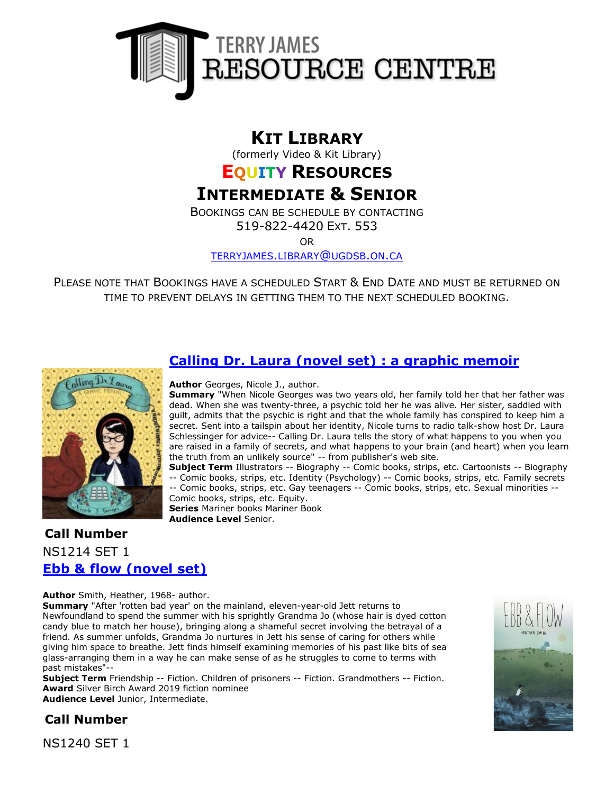

# **KIT LIBRARY**

(formerly Video & Kit Library)

# **EQUITY RESOURCES**

# **INTERMEDIATE & SENIOR**

BOOKINGS CAN BE SCHEDULE BY CONTACTING

519-822-4420 EXT. 553

OR

[TERRYJAMES](mailto:terryjames.library@ugdsb.on.ca).LIBRARY@UGDSB.ON.CA

PLEASE NOTE THAT BOOKINGS HAVE A SCHEDULED START & END DATE AND MUST BE RETURNED ON TIME TO PREVENT DELAYS IN GETTING THEM TO THE NEXT SCHEDULED BOOKING.



# **[Calling Dr. Laura \(novel set\) : a graphic memoir](https://ug.ent.sirsidynix.net/client/en_CA/TJR/search/detailnonmodal/ent:$002f$002fSD_ILS$002f0$002fSD_ILS:285524/email?dt=list)**

**Author** Georges, Nicole J., author.

**Summary** "When Nicole Georges was two years old, her family told her that her father was dead. When she was twenty-three, a psychic told her he was alive. Her sister, saddled with guilt, admits that the psychic is right and that the whole family has conspired to keep him a secret. Sent into a tailspin about her identity, Nicole turns to radio talk-show host Dr. Laura Schlessinger for advice-- Calling Dr. Laura tells the story of what happens to you when you are raised in a family of secrets, and what happens to your brain (and heart) when you learn the truth from an unlikely source" -- from publisher's web site.

**Subject Term** Illustrators -- Biography -- Comic books, strips, etc. Cartoonists -- Biography -- Comic books, strips, etc. Identity (Psychology) -- Comic books, strips, etc. Family secrets -- Comic books, strips, etc. Gay teenagers -- Comic books, strips, etc. Sexual minorities --

Comic books, strips, etc. Equity. **Series** Mariner books Mariner Book **Audience Level** Senior.

# **Call Number** NS1214 SET 1 **[Ebb & flow \(novel set\)](https://ug.ent.sirsidynix.net/client/en_CA/TJR/search/detailnonmodal/ent:$002f$002fSD_ILS$002f0$002fSD_ILS:323489/email?qu=ebb+%26+flow&d=ent%3A%2F%2FSD_ILS%2F0%2FSD_ILS%3A323489%7E%7E0&te=ILS&lm=MCKITS)**

**Author** Smith, Heather, 1968- author.

**Summary** "After 'rotten bad year' on the mainland, eleven-year-old Jett returns to Newfoundland to spend the summer with his sprightly Grandma Jo (whose hair is dyed cotton candy blue to match her house), bringing along a shameful secret involving the betrayal of a friend. As summer unfolds, Grandma Jo nurtures in Jett his sense of caring for others while giving him space to breathe. Jett finds himself examining memories of his past like bits of sea glass-arranging them in a way he can make sense of as he struggles to come to terms with past mistakes"--

**Subject Term** Friendship -- Fiction. Children of prisoners -- Fiction. Grandmothers -- Fiction. **Award** Silver Birch Award 2019 fiction nominee **Audience Level** Junior, Intermediate.



**Call Number**

NS1240 SET 1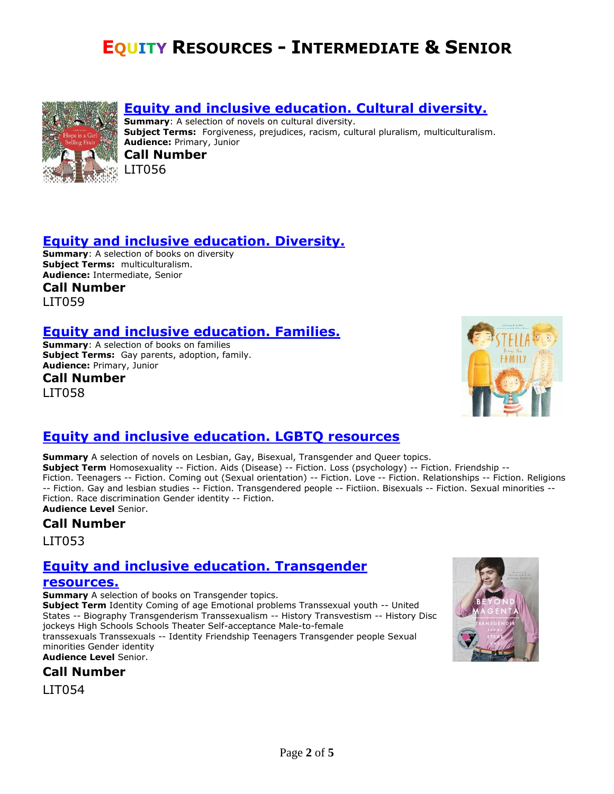# **EQUITY RESOURCES - INTERMEDIATE & SENIOR**



#### **[Equity and inclusive education. Cultural diversity.](https://ug.ent.sirsidynix.net/client/en_CA/TJRtest/search/mylists?)**

**Summary:** A selection of novels on cultural diversity. **Subject Terms:** Forgiveness, prejudices, racism, cultural pluralism, multiculturalism. **Audience:** Primary, Junior

**Call Number** LIT056

### **[Equity and inclusive education. Diversity.](https://ug.ent.sirsidynix.net/client/en_CA/TJRtest/search/mylists?)**

**Summary**: A selection of books on diversity **Subject Terms:** multiculturalism. **Audience:** Intermediate, Senior **Call Number**

LIT059

### **[Equity and inclusive education. Families.](https://ug.ent.sirsidynix.net/client/en_CA/TJRtest/search/mylists?)**

**Summary**: A selection of books on families **Subject Terms:** Gay parents, adoption, family. **Audience:** Primary, Junior

**Call Number** LIT058



### **[Equity and inclusive education. LGBTQ resources](https://ug.ent.sirsidynix.net/client/en_CA/TJR/search/detailnonmodal/ent:$002f$002fSD_ILS$002f0$002fSD_ILS:283403/email?dt=list)**

**Summary** A selection of novels on Lesbian, Gay, Bisexual, Transgender and Queer topics. **Subject Term** Homosexuality -- Fiction. Aids (Disease) -- Fiction. Loss (psychology) -- Fiction. Friendship --Fiction. Teenagers -- Fiction. Coming out (Sexual orientation) -- Fiction. Love -- Fiction. Relationships -- Fiction. Religions -- Fiction. Gay and lesbian studies -- Fiction. Transgendered people -- Fictiion. Bisexuals -- Fiction. Sexual minorities -- Fiction. Race discrimination Gender identity -- Fiction. **Audience Level** Senior.

**Call Number**

LIT053

# **[Equity and inclusive education. Transgender](https://ug.ent.sirsidynix.net/client/en_CA/TJR/search/detailnonmodal/ent:$002f$002fSD_ILS$002f0$002fSD_ILS:283476/email?dt=list)**

#### **[resources.](https://ug.ent.sirsidynix.net/client/en_CA/TJR/search/detailnonmodal/ent:$002f$002fSD_ILS$002f0$002fSD_ILS:283476/email?dt=list)**

**Summary** A selection of books on Transgender topics.

**Subject Term** Identity Coming of age Emotional problems Transsexual youth -- United States -- Biography Transgenderism Transsexualism -- History Transvestism -- History Disc jockeys High Schools Schools Theater Self-acceptance Male-to-female transsexuals Transsexuals -- Identity Friendship Teenagers Transgender people Sexual

minorities Gender identity **Audience Level** Senior.

**Call Number**

LIT054

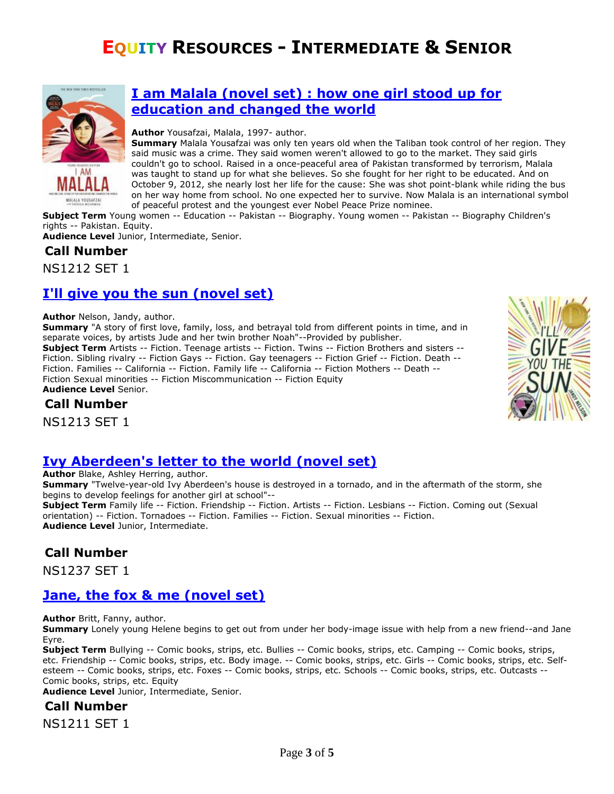# **EQUITY RESOURCES - INTERMEDIATE & SENIOR**



#### **[I am Malala \(novel set\) : how one girl stood up for](https://ug.ent.sirsidynix.net/client/en_CA/TJR/search/detailnonmodal/ent:$002f$002fSD_ILS$002f0$002fSD_ILS:285462/email?dt=list)  [education and changed the world](https://ug.ent.sirsidynix.net/client/en_CA/TJR/search/detailnonmodal/ent:$002f$002fSD_ILS$002f0$002fSD_ILS:285462/email?dt=list)**

#### **Author** Yousafzai, Malala, 1997- author.

**Summary** Malala Yousafzai was only ten years old when the Taliban took control of her region. They said music was a crime. They said women weren't allowed to go to the market. They said girls couldn't go to school. Raised in a once-peaceful area of Pakistan transformed by terrorism, Malala was taught to stand up for what she believes. So she fought for her right to be educated. And on October 9, 2012, she nearly lost her life for the cause: She was shot point-blank while riding the bus on her way home from school. No one expected her to survive. Now Malala is an international symbol of peaceful protest and the youngest ever Nobel Peace Prize nominee.

**Subject Term** Young women -- Education -- Pakistan -- Biography. Young women -- Pakistan -- Biography Children's rights -- Pakistan. Equity.

**Audience Level** Junior, Intermediate, Senior.

# **Call Number**

NS1212 SET 1

## **[I'll give you the sun \(novel set\)](https://ug.ent.sirsidynix.net/client/en_CA/TJR/search/detailnonmodal/ent:$002f$002fSD_ILS$002f0$002fSD_ILS:285523/email?dt=list)**

**Author** Nelson, Jandy, author.

**Summary** "A story of first love, family, loss, and betrayal told from different points in time, and in separate voices, by artists Jude and her twin brother Noah"--Provided by publisher. **Subject Term** Artists -- Fiction. Teenage artists -- Fiction. Twins -- Fiction Brothers and sisters -- Fiction. Sibling rivalry -- Fiction Gays -- Fiction. Gay teenagers -- Fiction Grief -- Fiction. Death -- Fiction. Families -- California -- Fiction. Family life -- California -- Fiction Mothers -- Death -- Fiction Sexual minorities -- Fiction Miscommunication -- Fiction Equity

**Audience Level** Senior.

### **Call Number**

NS1213 SET 1

### **[Ivy Aberdeen's letter to the world \(novel set\)](https://ug.ent.sirsidynix.net/client/en_CA/TJR/search/detailnonmodal/ent:$002f$002fSD_ILS$002f0$002fSD_ILS:323480/email?qu=ivy+aberdeen&d=ent%3A%2F%2FSD_ILS%2F0%2FSD_ILS%3A323480%7E%7E0&te=ILS&lm=MCKITS)**

**Author** Blake, Ashley Herring, author.

**Summary** "Twelve-year-old Ivy Aberdeen's house is destroyed in a tornado, and in the aftermath of the storm, she begins to develop feelings for another girl at school"--

**Subject Term** Family life -- Fiction. Friendship -- Fiction. Artists -- Fiction. Lesbians -- Fiction. Coming out (Sexual orientation) -- Fiction. Tornadoes -- Fiction. Families -- Fiction. Sexual minorities -- Fiction. **Audience Level** Junior, Intermediate.

### **Call Number**

NS1237 SET 1

# **[Jane, the fox & me \(novel set\)](https://ug.ent.sirsidynix.net/client/en_CA/TJR/search/detailnonmodal/ent:$002f$002fSD_ILS$002f0$002fSD_ILS:283396/email?dt=list)**

**Author** Britt, Fanny, author.

**Summary** Lonely young Helene begins to get out from under her body-image issue with help from a new friend--and Jane Eyre.

**Subject Term** Bullying -- Comic books, strips, etc. Bullies -- Comic books, strips, etc. Camping -- Comic books, strips, etc. Friendship -- Comic books, strips, etc. Body image. -- Comic books, strips, etc. Girls -- Comic books, strips, etc. Selfesteem -- Comic books, strips, etc. Foxes -- Comic books, strips, etc. Schools -- Comic books, strips, etc. Outcasts -- Comic books, strips, etc. Equity

**Audience Level** Junior, Intermediate, Senior.

#### **Call Number**

NS1211 SET 1

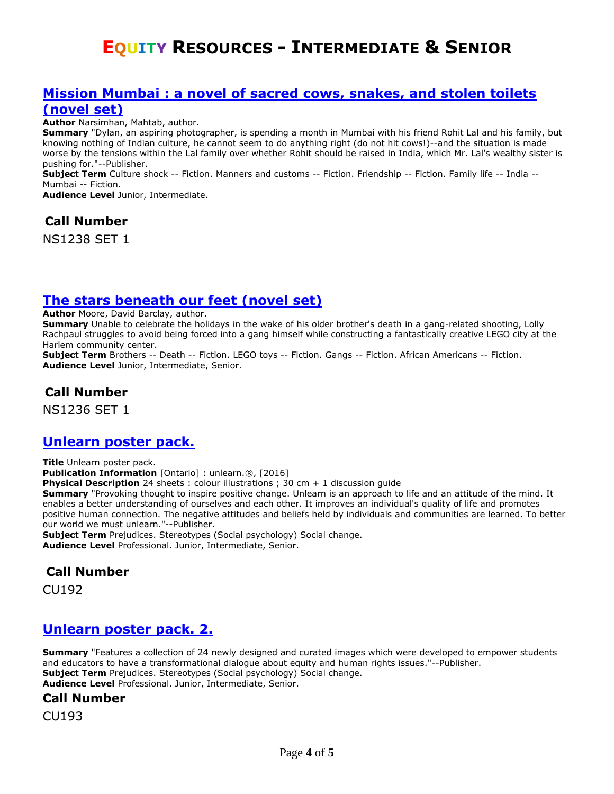# **EQUITY RESOURCES - INTERMEDIATE & SENIOR**

#### **Mission Mumbai [: a novel of sacred cows, snakes, and stolen toilets](https://ug.ent.sirsidynix.net/client/en_CA/TJR/search/detailnonmodal/ent:$002f$002fSD_ILS$002f0$002fSD_ILS:323487/email?qu=mission+mumbai&d=ent%3A%2F%2FSD_ILS%2F0%2FSD_ILS%3A323487%7E%7E0&te=ILS&lm=MCKITS)  [\(novel set\)](https://ug.ent.sirsidynix.net/client/en_CA/TJR/search/detailnonmodal/ent:$002f$002fSD_ILS$002f0$002fSD_ILS:323487/email?qu=mission+mumbai&d=ent%3A%2F%2FSD_ILS%2F0%2FSD_ILS%3A323487%7E%7E0&te=ILS&lm=MCKITS)**

**Author** Narsimhan, Mahtab, author.

**Summary** "Dylan, an aspiring photographer, is spending a month in Mumbai with his friend Rohit Lal and his family, but knowing nothing of Indian culture, he cannot seem to do anything right (do not hit cows!)--and the situation is made worse by the tensions within the Lal family over whether Rohit should be raised in India, which Mr. Lal's wealthy sister is pushing for."--Publisher.

**Subject Term** Culture shock -- Fiction. Manners and customs -- Fiction. Friendship -- Fiction. Family life -- India -- Mumbai -- Fiction.

**Audience Level** Junior, Intermediate.

**Call Number**

NS1238 SET 1

#### **[The stars beneath our feet \(novel set\)](https://ug.ent.sirsidynix.net/client/en_CA/TJR/search/detailnonmodal/ent:$002f$002fSD_ILS$002f0$002fSD_ILS:323477/email?qu=the+stars+beneath+our+feet&d=ent%3A%2F%2FSD_ILS%2F0%2FSD_ILS%3A323477%7E%7E0&te=ILS&lm=MCKITS)**

**Author** Moore, David Barclay, author.

**Summary** Unable to celebrate the holidays in the wake of his older brother's death in a gang-related shooting, Lolly Rachpaul struggles to avoid being forced into a gang himself while constructing a fantastically creative LEGO city at the Harlem community center.

**Subject Term** Brothers -- Death -- Fiction. LEGO toys -- Fiction. Gangs -- Fiction. African Americans -- Fiction. **Audience Level** Junior, Intermediate, Senior.

#### **Call Number**

NS1236 SET 1

#### **[Unlearn poster pack.](https://ug.ent.sirsidynix.net/client/en_CA/TJR/search/detailnonmodal/ent:$002f$002fSD_ILS$002f0$002fSD_ILS:319388/email?qu=unlearn&d=ent%3A%2F%2FSD_ILS%2F0%2FSD_ILS%3A319388%7EILS%7E0&te=ILS&lm=VID)**

**Title** Unlearn poster pack. **Publication Information** [Ontario] : unlearn.®, [2016] **Physical Description** 24 sheets : colour illustrations ; 30 cm + 1 discussion quide **Summary** "Provoking thought to inspire positive change. Unlearn is an approach to life and an attitude of the mind. It enables a better understanding of ourselves and each other. It improves an individual's quality of life and promotes positive human connection. The negative attitudes and beliefs held by individuals and communities are learned. To better our world we must unlearn."--Publisher.

**Subject Term** Prejudices. Stereotypes (Social psychology) Social change. **Audience Level** Professional. Junior, Intermediate, Senior.

#### **Call Number**

CU192

#### **[Unlearn poster pack. 2.](https://ug.ent.sirsidynix.net/client/en_CA/TJR/search/detailnonmodal/ent:$002f$002fSD_ILS$002f0$002fSD_ILS:320769/email?dt=list)**

**Summary** "Features a collection of 24 newly designed and curated images which were developed to empower students and educators to have a transformational dialogue about equity and human rights issues."--Publisher. **Subject Term** Prejudices. Stereotypes (Social psychology) Social change. **Audience Level** Professional. Junior, Intermediate, Senior.

#### **Call Number**

CU193